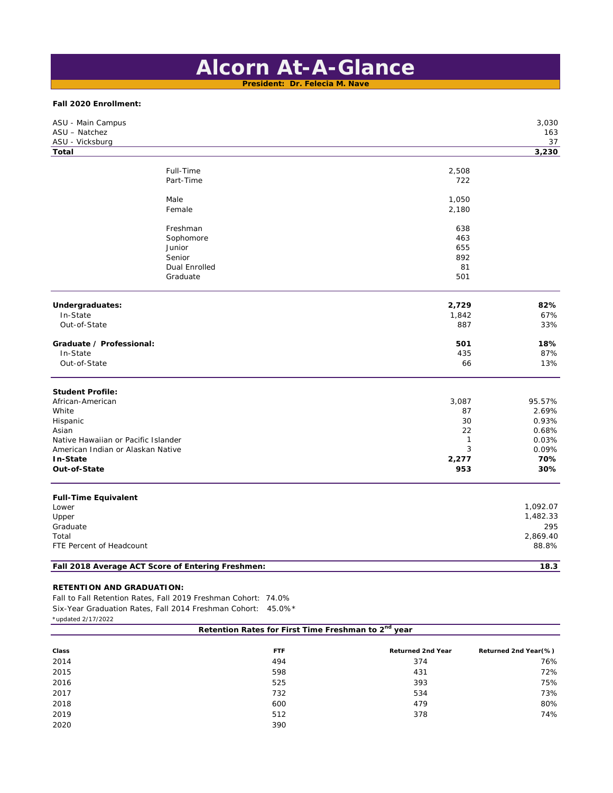# **Alcorn At-A-Glance**

**President: Dr. Felecia M. Nave**

# **Fall 2020 Enrollment:**

| ASU - Main Campus<br>ASU - Natchez  |                                                   |              | 3,030<br>163 |
|-------------------------------------|---------------------------------------------------|--------------|--------------|
| ASU - Vicksburg                     |                                                   |              | 37           |
| <b>Total</b>                        |                                                   |              | 3,230        |
|                                     |                                                   |              |              |
|                                     | Full-Time                                         | 2,508        |              |
|                                     | Part-Time                                         | 722          |              |
|                                     | Male                                              | 1,050        |              |
|                                     | Female                                            | 2,180        |              |
|                                     | Freshman                                          | 638          |              |
|                                     | Sophomore                                         | 463          |              |
|                                     | Junior                                            | 655          |              |
|                                     | Senior                                            | 892          |              |
|                                     | <b>Dual Enrolled</b>                              | 81           |              |
|                                     | Graduate                                          | 501          |              |
| Undergraduates:                     |                                                   | 2,729        | 82%          |
| In-State                            |                                                   | 1,842        | 67%          |
| Out-of-State                        |                                                   | 887          | 33%          |
| Graduate / Professional:            |                                                   | 501          | 18%          |
| In-State                            |                                                   | 435          | 87%          |
| Out-of-State                        |                                                   | 66           | 13%          |
| <b>Student Profile:</b>             |                                                   |              |              |
| African-American                    |                                                   | 3,087        | 95.57%       |
| White                               |                                                   | 87           | 2.69%        |
| Hispanic                            |                                                   | 30           | 0.93%        |
| Asian                               |                                                   | 22           | 0.68%        |
| Native Hawaiian or Pacific Islander |                                                   | $\mathbf{1}$ | 0.03%        |
| American Indian or Alaskan Native   |                                                   | 3            | 0.09%        |
| In-State                            |                                                   | 2,277        | 70%          |
| Out-of-State                        |                                                   | 953          | 30%          |
| <b>Full-Time Equivalent</b>         |                                                   |              |              |
| Lower                               |                                                   |              | 1,092.07     |
| Upper                               |                                                   |              | 1,482.33     |
| Graduate                            |                                                   |              | 295          |
| Total                               |                                                   |              | 2,869.40     |
| FTE Percent of Headcount            |                                                   |              | 88.8%        |
|                                     | Fall 2018 Average ACT Score of Entering Freshmen: |              | 18.3         |
|                                     |                                                   |              |              |

# **RETENTION AND GRADUATION:**

Fall to Fall Retention Rates, Fall 2019 Freshman Cohort: 74.0% Six-Year Graduation Rates, Fall 2014 Freshman Cohort: 45.0%\* \*updated 2/17/2022

| upuateu z/ 1772022                                              |            |                          |                      |
|-----------------------------------------------------------------|------------|--------------------------|----------------------|
| Retention Rates for First Time Freshman to 2 <sup>nd</sup> year |            |                          |                      |
| Class                                                           | <b>FTF</b> | <b>Returned 2nd Year</b> | Returned 2nd Year(%) |
| 2014                                                            | 494        | 374                      | 76%                  |
| 2015                                                            | 598        | 431                      | 72%                  |
| 2016                                                            | 525        | 393                      | 75%                  |
| 2017                                                            | 732        | 534                      | 73%                  |
| 2018                                                            | 600        | 479                      | 80%                  |
| 2019                                                            | 512        | 378                      | 74%                  |
| 2020                                                            | 390        |                          |                      |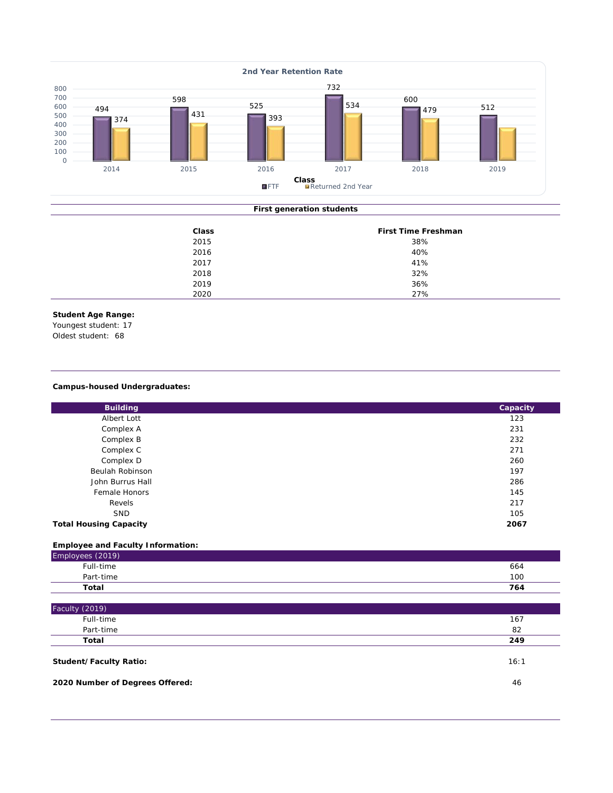

# **First generation students**

| Class | First Time Freshman |
|-------|---------------------|
| 2015  | 38%                 |
| 2016  | 40%                 |
| 2017  | 41%                 |
| 2018  | 32%                 |
| 2019  | 36%                 |
| 2020  | 27%                 |

# **Student Age Range:**

Youngest student: 17

Oldest student: 68

# **Campus-housed Undergraduates:**

| <b>Building</b>               | Capacity |
|-------------------------------|----------|
| Albert Lott                   | 123      |
| Complex A                     | 231      |
| Complex B                     | 232      |
| Complex C                     | 271      |
| Complex D                     | 260      |
| Beulah Robinson               | 197      |
| John Burrus Hall              | 286      |
| Female Honors                 | 145      |
| Revels                        | 217      |
| <b>SND</b>                    | 105      |
| <b>Total Housing Capacity</b> | 2067     |

# **Employee and Faculty Information:** Employees (2019) Full-time 664 Part-time 100 **Total 764**

| Faculty (2019)                |      |
|-------------------------------|------|
| Full-time                     | 167  |
| Part-time                     | 82   |
| Total                         | 249  |
| <b>Student/Faculty Ratio:</b> | 16:1 |

**2020 Number of Degrees Offered:** 46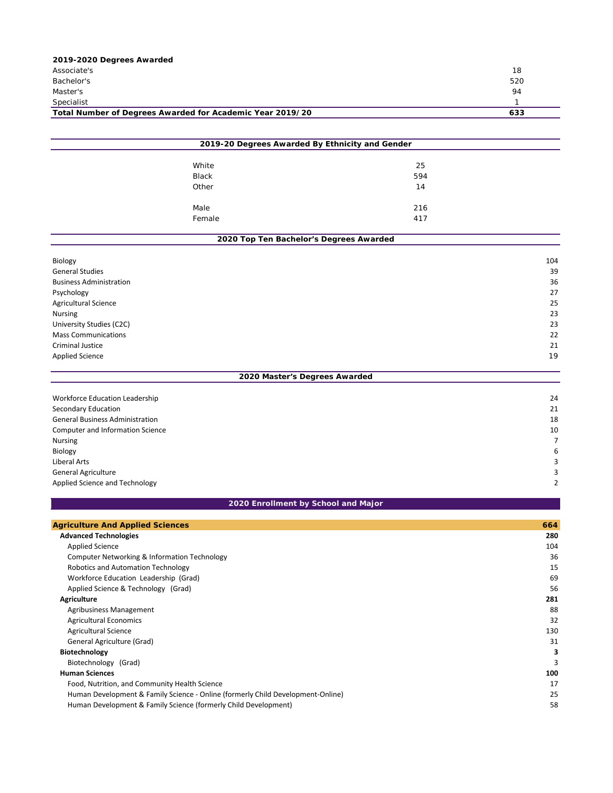| 2019-2020 Degrees Awarded                                 |     |
|-----------------------------------------------------------|-----|
| Associate's                                               | 18  |
| Bachelor's                                                | 520 |
| Master's                                                  | 94  |
| Specialist                                                |     |
| Total Number of Degrees Awarded for Academic Year 2019/20 | 633 |
|                                                           |     |

| 2019-20 Degrees Awarded By Ethnicity and Gender |                                         |     |  |
|-------------------------------------------------|-----------------------------------------|-----|--|
|                                                 | White                                   | 25  |  |
|                                                 | Black                                   | 594 |  |
|                                                 | Other                                   | 14  |  |
|                                                 | Male                                    | 216 |  |
|                                                 | Female                                  | 417 |  |
|                                                 | 2020 Top Ten Bachelor's Degrees Awarded |     |  |

| Biology                        | 104 |
|--------------------------------|-----|
| <b>General Studies</b>         | 39  |
| <b>Business Administration</b> | 36  |
| Psychology                     | 27  |
| <b>Agricultural Science</b>    | 25  |
| Nursing                        | 23  |
| University Studies (C2C)       | 23  |
| <b>Mass Communications</b>     | 22  |
| <b>Criminal Justice</b>        | 21  |
| <b>Applied Science</b>         | 19  |
| 2020 Master's Degrees Awarded  |     |

| Workforce Education Leadership         | 24 |
|----------------------------------------|----|
| Secondary Education                    | 21 |
| <b>General Business Administration</b> | 18 |
| Computer and Information Science       | 10 |
| <b>Nursing</b>                         |    |
| Biology                                | 6  |
| Liberal Arts                           | 3  |
| <b>General Agriculture</b>             | 3  |
| Applied Science and Technology         | 2  |

# **2020 Enrollment by School and Major**

| <b>Agriculture And Applied Sciences</b>                                         | 664 |
|---------------------------------------------------------------------------------|-----|
| <b>Advanced Technologies</b>                                                    | 280 |
| <b>Applied Science</b>                                                          | 104 |
| Computer Networking & Information Technology                                    | 36  |
| Robotics and Automation Technology                                              | 15  |
| Workforce Education Leadership (Grad)                                           | 69  |
| Applied Science & Technology (Grad)                                             | 56  |
| <b>Agriculture</b>                                                              | 281 |
| Agribusiness Management                                                         | 88  |
| <b>Agricultural Economics</b>                                                   | 32  |
| <b>Agricultural Science</b>                                                     | 130 |
| General Agriculture (Grad)                                                      | 31  |
| Biotechnology                                                                   | 3   |
| Biotechnology (Grad)                                                            | 3   |
| <b>Human Sciences</b>                                                           | 100 |
| Food, Nutrition, and Community Health Science                                   | 17  |
| Human Development & Family Science - Online (formerly Child Development-Online) | 25  |
| Human Development & Family Science (formerly Child Development)                 | 58  |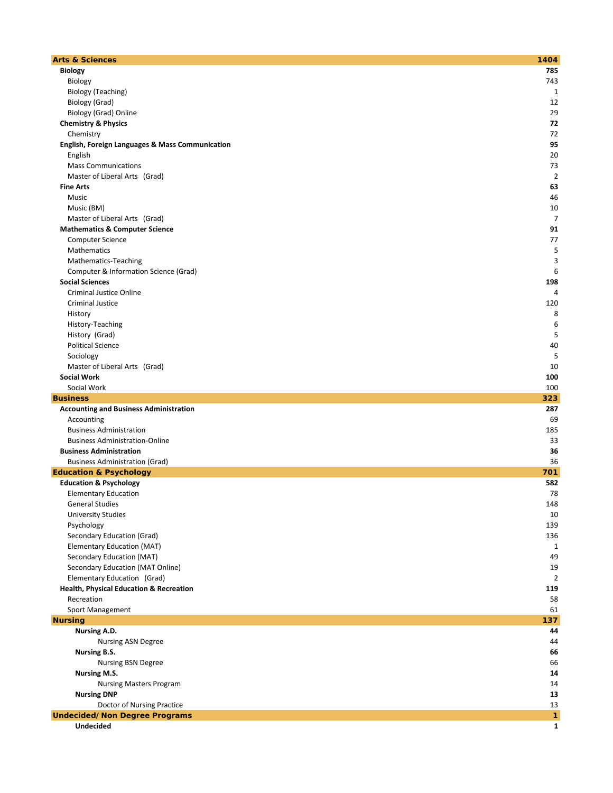| <b>Arts &amp; Sciences</b>                                 | 1404           |
|------------------------------------------------------------|----------------|
| <b>Biology</b>                                             | 785            |
| Biology                                                    | 743            |
| <b>Biology (Teaching)</b>                                  | 1              |
| Biology (Grad)                                             | 12             |
| Biology (Grad) Online                                      | 29             |
|                                                            | 72             |
| <b>Chemistry &amp; Physics</b>                             |                |
| Chemistry                                                  | 72             |
| <b>English, Foreign Languages &amp; Mass Communication</b> | 95             |
| English                                                    | 20             |
| <b>Mass Communications</b>                                 | 73             |
| Master of Liberal Arts (Grad)                              | $\overline{2}$ |
| <b>Fine Arts</b>                                           | 63             |
| Music                                                      | 46             |
| Music (BM)                                                 | 10             |
| Master of Liberal Arts (Grad)                              | $\overline{7}$ |
| <b>Mathematics &amp; Computer Science</b>                  | 91             |
| <b>Computer Science</b>                                    | 77             |
| Mathematics                                                | 5              |
| Mathematics-Teaching                                       | 3              |
| Computer & Information Science (Grad)                      | 6              |
| <b>Social Sciences</b>                                     | 198            |
| <b>Criminal Justice Online</b>                             | 4              |
| Criminal Justice                                           | 120            |
| History                                                    | 8              |
| History-Teaching                                           | 6              |
| History (Grad)                                             | 5              |
| <b>Political Science</b>                                   | 40             |
| Sociology                                                  | 5              |
| Master of Liberal Arts (Grad)                              | 10             |
| <b>Social Work</b>                                         | 100            |
| Social Work                                                | 100            |
| <b>Business</b>                                            | 323            |
| <b>Accounting and Business Administration</b>              | 287            |
| Accounting                                                 | 69             |
| <b>Business Administration</b>                             | 185            |
|                                                            |                |
| <b>Business Administration-Online</b>                      | 33             |
| <b>Business Administration</b>                             | 36             |
| <b>Business Administration (Grad)</b>                      | 36             |
| <b>Education &amp; Psychology</b>                          | 701            |
| <b>Education &amp; Psychology</b>                          | 582            |
| <b>Elementary Education</b>                                | 78             |
| <b>General Studies</b>                                     | 148            |
| <b>University Studies</b>                                  | 10             |
| Psychology                                                 | 139            |
| Secondary Education (Grad)                                 | 136            |
| Elementary Education (MAT)                                 | 1              |
| Secondary Education (MAT)                                  | 49             |
| Secondary Education (MAT Online)                           | 19             |
| Elementary Education (Grad)                                | 2              |
| <b>Health, Physical Education &amp; Recreation</b>         | 119            |
| Recreation                                                 | 58             |
| Sport Management                                           | 61             |
| <b>Nursing</b>                                             | 137            |
| Nursing A.D.                                               | 44             |
| <b>Nursing ASN Degree</b>                                  | 44             |
| Nursing B.S.                                               | 66             |
| <b>Nursing BSN Degree</b>                                  | 66             |
| <b>Nursing M.S.</b>                                        | 14             |
| <b>Nursing Masters Program</b>                             | 14             |
| <b>Nursing DNP</b>                                         | 13             |
| Doctor of Nursing Practice                                 | 13             |
| <b>Undecided/Non Degree Programs</b>                       | 1              |
| Undecided                                                  | $\mathbf{1}$   |
|                                                            |                |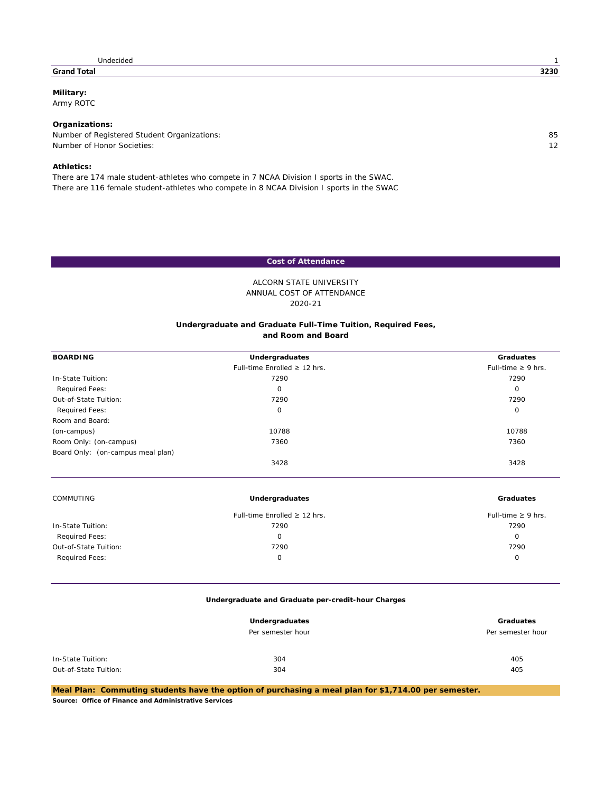#### **Grand Total 3230**

**Military:**

Army ROTC

## **Organizations:**

Number of Registered Student Organizations: 85<br>Number of Honor Societies: 85<br>12 Number of Honor Societies:

### **Athletics:**

There are 174 male student-athletes who compete in 7 NCAA Division I sports in the SWAC. There are 116 female student-athletes who compete in 8 NCAA Division I sports in the SWAC

# **Cost of Attendance**

# ANNUAL COST OF ATTENDANCE ALCORN STATE UNIVERSITY 2020-21

#### **and Room and Board Undergraduate and Graduate Full-Time Tuition, Required Fees,**

| <b>BOARDING</b>                   | Undergraduates                    | Graduates               |
|-----------------------------------|-----------------------------------|-------------------------|
|                                   | Full-time Enrolled $\geq$ 12 hrs. | Full-time $\geq 9$ hrs. |
| In-State Tuition:                 | 7290                              | 7290                    |
| Required Fees:                    | $\mathbf 0$                       | $\circ$                 |
| Out-of-State Tuition:             | 7290                              | 7290                    |
| Required Fees:                    | 0                                 | $\circ$                 |
| Room and Board:                   |                                   |                         |
| (on-campus)                       | 10788                             | 10788                   |
| Room Only: (on-campus)            | 7360                              | 7360                    |
| Board Only: (on-campus meal plan) |                                   |                         |
|                                   | 3428                              | 3428                    |
| <b>COMMUTING</b>                  | Undergraduates                    | Graduates               |
|                                   | Full-time Enrolled $\geq$ 12 hrs. | Full-time $\geq 9$ hrs. |
| In-State Tuition:                 | 7290                              | 7290                    |
| Required Fees:                    | $\mathbf 0$                       | $\circ$                 |
| Out-of-State Tuition:             | 7290                              | 7290                    |
| <b>Required Fees:</b>             | 0                                 | $\circ$                 |

#### **Undergraduate and Graduate per-credit-hour Charges**

|                       | Undergraduates<br>Per semester hour | Graduates<br>Per semester hour |
|-----------------------|-------------------------------------|--------------------------------|
| In-State Tuition:     | 304                                 | 405                            |
| Out-of-State Tuition: | 304                                 | 405                            |

*Meal Plan: Commuting students have the option of purchasing a meal plan for \$1,714.00 per semester.*

*Source: Office of Finance and Administrative Services*